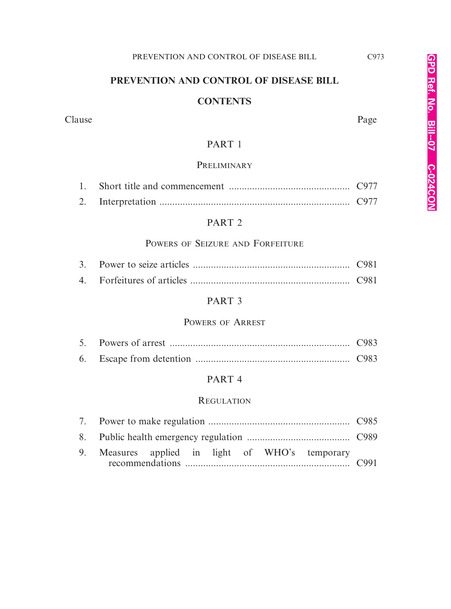# **PREVENTION AND CONTROL OF DISEASE BILL**

#### **CONTENTS**

#### Clause Page

# PART 1

#### **PRELIMINARY**

# PART 2

# POWERS OF SEIZURE AND FORFEITURE

#### PART 3

# POWERS OF ARREST

# PART 4

#### **REGULATION**

| 9. Measures applied in light of WHO's temporary |  |  |  |  |  |  |
|-------------------------------------------------|--|--|--|--|--|--|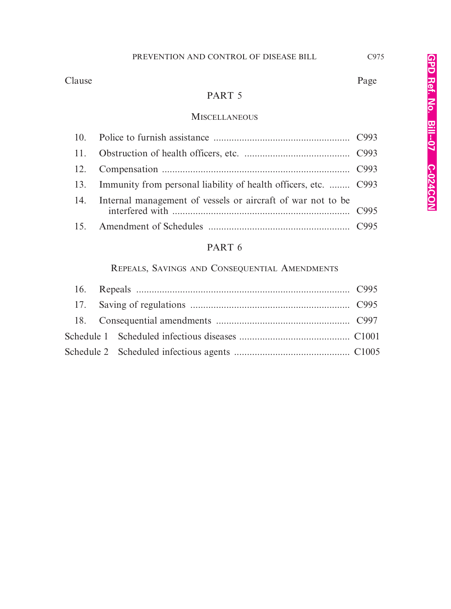Clause Page

# PART 5

#### **MISCELLANEOUS**

| 13. Immunity from personal liability of health officers, etc.  C993 |  |
|---------------------------------------------------------------------|--|
| 14. Internal management of vessels or aircraft of war not to be     |  |
|                                                                     |  |

# PART 6

# REPEALS, SAVINGS AND CONSEQUENTIAL AMENDMENTS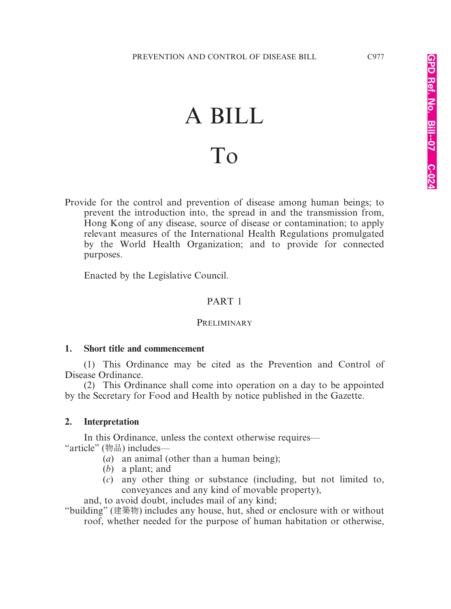# A BILL To

Provide for the control and prevention of disease among human beings; to prevent the introduction into, the spread in and the transmission from, Hong Kong of any disease, source of disease or contamination; to apply relevant measures of the International Health Regulations promulgated by the World Health Organization; and to provide for connected purposes.

Enacted by the Legislative Council.

# PART 1

#### **PRELIMINARY**

#### **1. Short title and commencement**

(1) This Ordinance may be cited as the Prevention and Control of Disease Ordinance.

(2) This Ordinance shall come into operation on a day to be appointed by the Secretary for Food and Health by notice published in the Gazette.

#### **2. Interpretation**

In this Ordinance, unless the context otherwise requires— "article" (物品) includes—

- (*a*) an animal (other than a human being);
- (*b*) a plant; and
- (*c*) any other thing or substance (including, but not limited to, conveyances and any kind of movable property),

and, to avoid doubt, includes mail of any kind;

"building" (建築物) includes any house, hut, shed or enclosure with or without roof, whether needed for the purpose of human habitation or otherwise,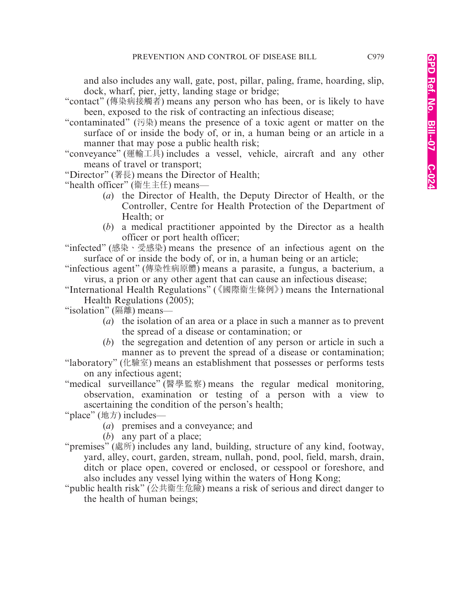and also includes any wall, gate, post, pillar, paling, frame, hoarding, slip, dock, wharf, pier, jetty, landing stage or bridge;

- "contact" (傳染病接觸者) means any person who has been, or is likely to have been, exposed to the risk of contracting an infectious disease;
- "contaminated" (污染) means the presence of a toxic agent or matter on the surface of or inside the body of, or in, a human being or an article in a manner that may pose a public health risk;
- "conveyance" (運輸工具) includes a vessel, vehicle, aircraft and any other means of travel or transport;
- "Director" (署長) means the Director of Health;

"health officer" (宪生主任) means—

- (*a*) the Director of Health, the Deputy Director of Health, or the Controller, Centre for Health Protection of the Department of Health; or
- (*b*) a medical practitioner appointed by the Director as a health officer or port health officer;

"infected" (感染、受感染) means the presence of an infectious agent on the surface of or inside the body of, or in, a human being or an article;

"infectious agent" (傳染性病原體) means a parasite, a fungus, a bacterium, a virus, a prion or any other agent that can cause an infectious disease;

"International Health Regulations" (《國際衞生條例》) means the International Health Regulations (2005);

"isolation" (隔離) means—

- (*a*) the isolation of an area or a place in such a manner as to prevent the spread of a disease or contamination; or
- (*b*) the segregation and detention of any person or article in such a manner as to prevent the spread of a disease or contamination;
- "laboratory" (化驗室) means an establishment that possesses or performs tests on any infectious agent;

"medical surveillance" (醫學監察) means the regular medical monitoring, observation, examination or testing of a person with a view to ascertaining the condition of the person's health;

"place" (地方) includes—

(*a*) premises and a conveyance; and

(*b*) any part of a place;

"premises" (處所) includes any land, building, structure of any kind, footway, yard, alley, court, garden, stream, nullah, pond, pool, field, marsh, drain, ditch or place open, covered or enclosed, or cesspool or foreshore, and also includes any vessel lying within the waters of Hong Kong;

"public health risk" (公共衞生危險) means a risk of serious and direct danger to the health of human beings;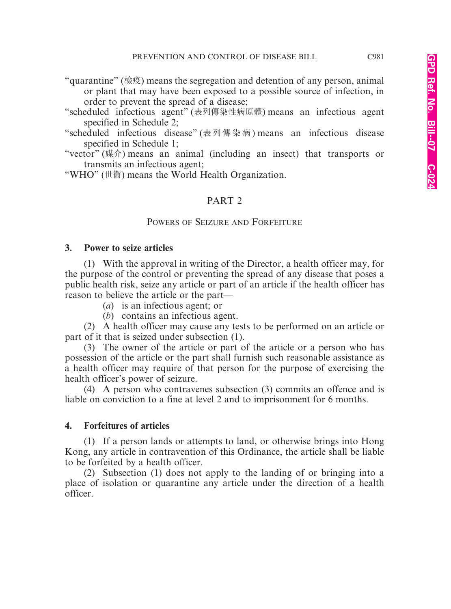- "quarantine" (檢疫) means the segregation and detention of any person, animal or plant that may have been exposed to a possible source of infection, in order to prevent the spread of a disease;
- "scheduled infectious agent" (表列傳染性病原體) means an infectious agent specified in Schedule 2;
- "scheduled infectious disease" (表列傳染病) means an infectious disease specified in Schedule 1;
- "vector" (媒介) means an animal (including an insect) that transports or transmits an infectious agent;

"WHO" (世衛) means the World Health Organization.

# PART 2

#### POWERS OF SEIZURE AND FORFEITURE

#### **3. Power to seize articles**

(1) With the approval in writing of the Director, a health officer may, for the purpose of the control or preventing the spread of any disease that poses a public health risk, seize any article or part of an article if the health officer has reason to believe the article or the part—

(*a*) is an infectious agent; or

(*b*) contains an infectious agent.

(2) A health officer may cause any tests to be performed on an article or part of it that is seized under subsection (1).

(3) The owner of the article or part of the article or a person who has possession of the article or the part shall furnish such reasonable assistance as a health officer may require of that person for the purpose of exercising the health officer's power of seizure.

(4) A person who contravenes subsection (3) commits an offence and is liable on conviction to a fine at level 2 and to imprisonment for 6 months.

# **4. Forfeitures of articles**

(1) If a person lands or attempts to land, or otherwise brings into Hong Kong, any article in contravention of this Ordinance, the article shall be liable to be forfeited by a health officer.

(2) Subsection (1) does not apply to the landing of or bringing into a place of isolation or quarantine any article under the direction of a health officer.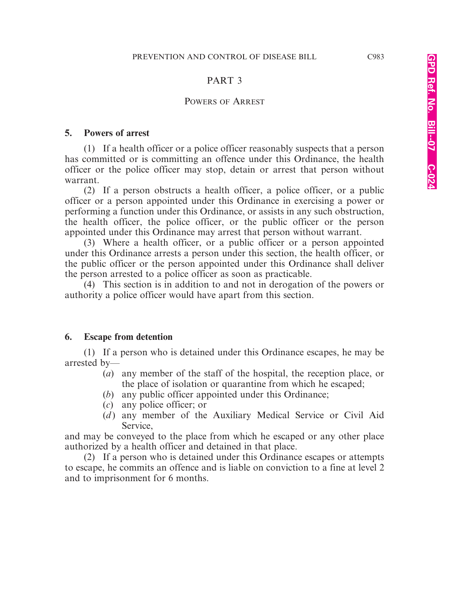#### PART 3

#### POWERS OF ARREST

#### **5. Powers of arrest**

(1) If a health officer or a police officer reasonably suspects that a person has committed or is committing an offence under this Ordinance, the health officer or the police officer may stop, detain or arrest that person without warrant.

(2) If a person obstructs a health officer, a police officer, or a public officer or a person appointed under this Ordinance in exercising a power or performing a function under this Ordinance, or assists in any such obstruction, the health officer, the police officer, or the public officer or the person appointed under this Ordinance may arrest that person without warrant.

(3) Where a health officer, or a public officer or a person appointed under this Ordinance arrests a person under this section, the health officer, or the public officer or the person appointed under this Ordinance shall deliver the person arrested to a police officer as soon as practicable.

(4) This section is in addition to and not in derogation of the powers or authority a police officer would have apart from this section.

#### **6. Escape from detention**

(1) If a person who is detained under this Ordinance escapes, he may be arrested by—

- (*a*) any member of the staff of the hospital, the reception place, or the place of isolation or quarantine from which he escaped;
- (*b*) any public officer appointed under this Ordinance;
- (*c*) any police officer; or
- (*d*) any member of the Auxiliary Medical Service or Civil Aid Service,

and may be conveyed to the place from which he escaped or any other place authorized by a health officer and detained in that place.

(2) If a person who is detained under this Ordinance escapes or attempts to escape, he commits an offence and is liable on conviction to a fine at level 2 and to imprisonment for 6 months.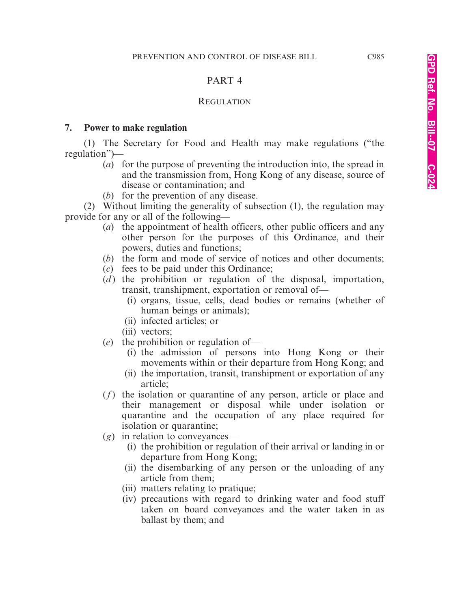# PART 4

# **REGULATION**

# **7. Power to make regulation**

(1) The Secretary for Food and Health may make regulations ("the regulation")—

- (*a*) for the purpose of preventing the introduction into, the spread in and the transmission from, Hong Kong of any disease, source of disease or contamination; and
- (*b*) for the prevention of any disease.

(2) Without limiting the generality of subsection (1), the regulation may provide for any or all of the following—

- (*a*) the appointment of health officers, other public officers and any other person for the purposes of this Ordinance, and their powers, duties and functions;
- (*b*) the form and mode of service of notices and other documents;
- (*c*) fees to be paid under this Ordinance;
- (*d*) the prohibition or regulation of the disposal, importation, transit, transhipment, exportation or removal of—
	- (i) organs, tissue, cells, dead bodies or remains (whether of human beings or animals);
	- (ii) infected articles; or
	- (iii) vectors;
- (*e*) the prohibition or regulation of—
	- (i) the admission of persons into Hong Kong or their movements within or their departure from Hong Kong; and
	- (ii) the importation, transit, transhipment or exportation of any article;
- (*f*) the isolation or quarantine of any person, article or place and their management or disposal while under isolation or quarantine and the occupation of any place required for isolation or quarantine;
- (*g*) in relation to conveyances—
	- (i) the prohibition or regulation of their arrival or landing in or departure from Hong Kong;
	- (ii) the disembarking of any person or the unloading of any article from them;
	- (iii) matters relating to pratique;
	- (iv) precautions with regard to drinking water and food stuff taken on board conveyances and the water taken in as ballast by them; and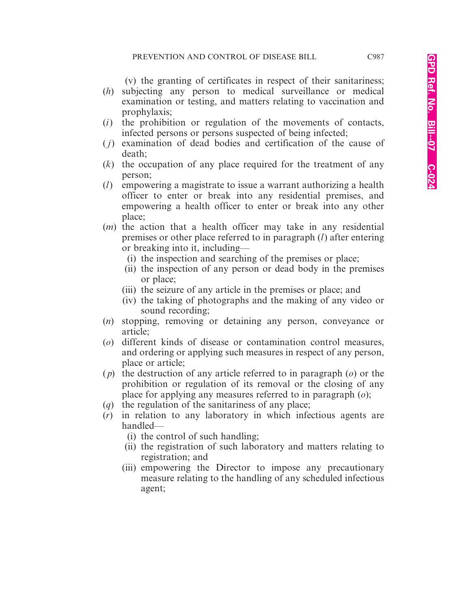(v) the granting of certificates in respect of their sanitariness;

- (*h*) subjecting any person to medical surveillance or medical examination or testing, and matters relating to vaccination and prophylaxis;
- (*i*) the prohibition or regulation of the movements of contacts, infected persons or persons suspected of being infected;
- ( *j*) examination of dead bodies and certification of the cause of death;
- (*k*) the occupation of any place required for the treatment of any person;
- (*l*) empowering a magistrate to issue a warrant authorizing a health officer to enter or break into any residential premises, and empowering a health officer to enter or break into any other place;
- (*m*) the action that a health officer may take in any residential premises or other place referred to in paragraph (*l*) after entering or breaking into it, including—
	- (i) the inspection and searching of the premises or place;
	- (ii) the inspection of any person or dead body in the premises or place;
	- (iii) the seizure of any article in the premises or place; and
	- (iv) the taking of photographs and the making of any video or sound recording;
- (*n*) stopping, removing or detaining any person, conveyance or article;
- (*o*) different kinds of disease or contamination control measures, and ordering or applying such measures in respect of any person, place or article;
- ( *p*) the destruction of any article referred to in paragraph (*o*) or the prohibition or regulation of its removal or the closing of any place for applying any measures referred to in paragraph (*o*);
- (*q*) the regulation of the sanitariness of any place;
- (*r*) in relation to any laboratory in which infectious agents are handled—
	- (i) the control of such handling;
	- (ii) the registration of such laboratory and matters relating to registration; and
	- (iii) empowering the Director to impose any precautionary measure relating to the handling of any scheduled infectious agent;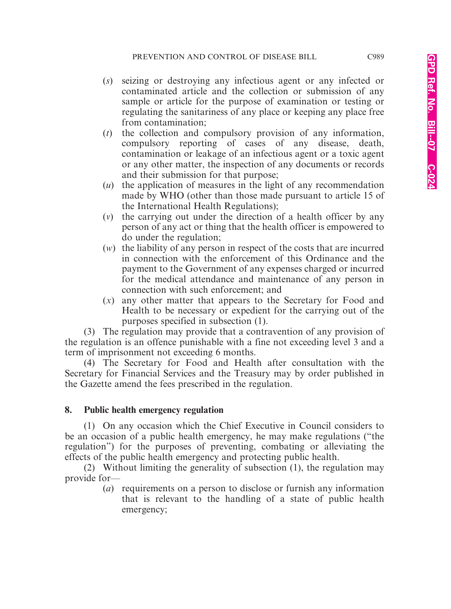- (*s*) seizing or destroying any infectious agent or any infected or contaminated article and the collection or submission of any sample or article for the purpose of examination or testing or regulating the sanitariness of any place or keeping any place free from contamination;
- (*t*) the collection and compulsory provision of any information, compulsory reporting of cases of any disease, death, contamination or leakage of an infectious agent or a toxic agent or any other matter, the inspection of any documents or records and their submission for that purpose;
- (*u*) the application of measures in the light of any recommendation made by WHO (other than those made pursuant to article 15 of the International Health Regulations);
- (*v*) the carrying out under the direction of a health officer by any person of any act or thing that the health officer is empowered to do under the regulation;
- (*w*) the liability of any person in respect of the costs that are incurred in connection with the enforcement of this Ordinance and the payment to the Government of any expenses charged or incurred for the medical attendance and maintenance of any person in connection with such enforcement; and
- (*x*) any other matter that appears to the Secretary for Food and Health to be necessary or expedient for the carrying out of the purposes specified in subsection (1).

(3) The regulation may provide that a contravention of any provision of the regulation is an offence punishable with a fine not exceeding level 3 and a term of imprisonment not exceeding 6 months.

(4) The Secretary for Food and Health after consultation with the Secretary for Financial Services and the Treasury may by order published in the Gazette amend the fees prescribed in the regulation.

# **8. Public health emergency regulation**

(1) On any occasion which the Chief Executive in Council considers to be an occasion of a public health emergency, he may make regulations ("the regulation") for the purposes of preventing, combating or alleviating the effects of the public health emergency and protecting public health.

(2) Without limiting the generality of subsection (1), the regulation may provide for—

(*a*) requirements on a person to disclose or furnish any information that is relevant to the handling of a state of public health emergency;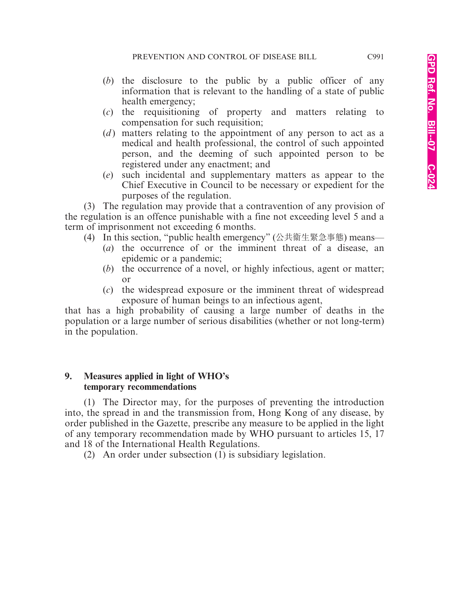- (*b*) the disclosure to the public by a public officer of any information that is relevant to the handling of a state of public health emergency;
- (*c*) the requisitioning of property and matters relating to compensation for such requisition;
- (*d*) matters relating to the appointment of any person to act as a medical and health professional, the control of such appointed person, and the deeming of such appointed person to be registered under any enactment; and
- (*e*) such incidental and supplementary matters as appear to the Chief Executive in Council to be necessary or expedient for the purposes of the regulation.

(3) The regulation may provide that a contravention of any provision of the regulation is an offence punishable with a fine not exceeding level 5 and a term of imprisonment not exceeding 6 months.

- (4) In this section, "public health emergency" (公共宪生緊急事態) means—
	- (*a*) the occurrence of or the imminent threat of a disease, an epidemic or a pandemic;
	- (*b*) the occurrence of a novel, or highly infectious, agent or matter; or
	- (*c*) the widespread exposure or the imminent threat of widespread exposure of human beings to an infectious agent,

that has a high probability of causing a large number of deaths in the population or a large number of serious disabilities (whether or not long-term) in the population.

#### **9. Measures applied in light of WHO's temporary recommendations**

(1) The Director may, for the purposes of preventing the introduction into, the spread in and the transmission from, Hong Kong of any disease, by order published in the Gazette, prescribe any measure to be applied in the light of any temporary recommendation made by WHO pursuant to articles 15, 17 and 18 of the International Health Regulations.

(2) An order under subsection (1) is subsidiary legislation.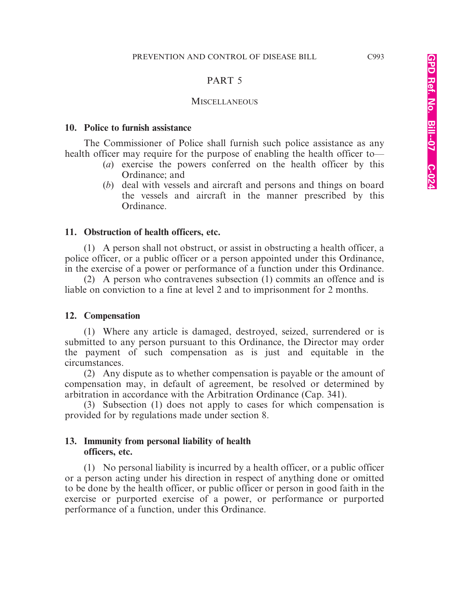#### PART 5

#### **MISCELLANEOUS**

#### **10. Police to furnish assistance**

The Commissioner of Police shall furnish such police assistance as any health officer may require for the purpose of enabling the health officer to—

- (*a*) exercise the powers conferred on the health officer by this Ordinance; and
- (*b*) deal with vessels and aircraft and persons and things on board the vessels and aircraft in the manner prescribed by this Ordinance.

#### **11. Obstruction of health officers, etc.**

(1) A person shall not obstruct, or assist in obstructing a health officer, a police officer, or a public officer or a person appointed under this Ordinance, in the exercise of a power or performance of a function under this Ordinance.

(2) A person who contravenes subsection (1) commits an offence and is liable on conviction to a fine at level 2 and to imprisonment for 2 months.

#### **12. Compensation**

(1) Where any article is damaged, destroyed, seized, surrendered or is submitted to any person pursuant to this Ordinance, the Director may order the payment of such compensation as is just and equitable in the circumstances.

(2) Any dispute as to whether compensation is payable or the amount of compensation may, in default of agreement, be resolved or determined by arbitration in accordance with the Arbitration Ordinance (Cap. 341).

(3) Subsection (1) does not apply to cases for which compensation is provided for by regulations made under section 8.

#### **13. Immunity from personal liability of health officers, etc.**

(1) No personal liability is incurred by a health officer, or a public officer or a person acting under his direction in respect of anything done or omitted to be done by the health officer, or public officer or person in good faith in the exercise or purported exercise of a power, or performance or purported performance of a function, under this Ordinance.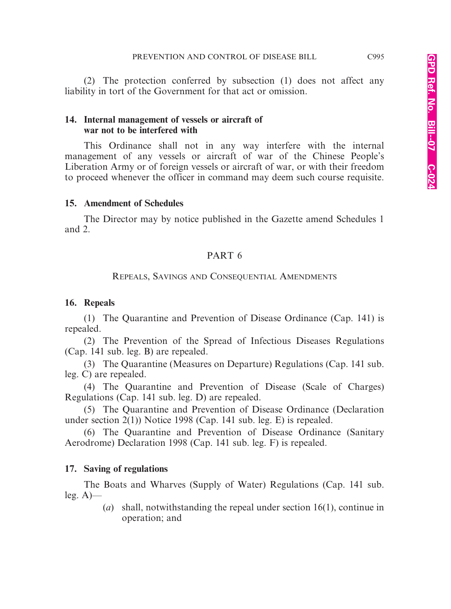(2) The protection conferred by subsection (1) does not affect any liability in tort of the Government for that act or omission.

# **14. Internal management of vessels or aircraft of war not to be interfered with**

This Ordinance shall not in any way interfere with the internal management of any vessels or aircraft of war of the Chinese People's Liberation Army or of foreign vessels or aircraft of war, or with their freedom to proceed whenever the officer in command may deem such course requisite.

# **15. Amendment of Schedules**

The Director may by notice published in the Gazette amend Schedules 1 and 2.

# PART 6

# REPEALS, SAVINGS AND CONSEQUENTIAL AMENDMENTS

# **16. Repeals**

(1) The Quarantine and Prevention of Disease Ordinance (Cap. 141) is repealed.

(2) The Prevention of the Spread of Infectious Diseases Regulations (Cap. 141 sub. leg. B) are repealed.

(3) The Quarantine (Measures on Departure) Regulations (Cap. 141 sub. leg. C) are repealed.

(4) The Quarantine and Prevention of Disease (Scale of Charges) Regulations (Cap. 141 sub. leg. D) are repealed.

(5) The Quarantine and Prevention of Disease Ordinance (Declaration under section 2(1)) Notice 1998 (Cap. 141 sub. leg. E) is repealed.

(6) The Quarantine and Prevention of Disease Ordinance (Sanitary Aerodrome) Declaration 1998 (Cap. 141 sub. leg. F) is repealed.

# **17. Saving of regulations**

The Boats and Wharves (Supply of Water) Regulations (Cap. 141 sub.  $leg. A)$ 

> (*a*) shall, notwithstanding the repeal under section 16(1), continue in operation; and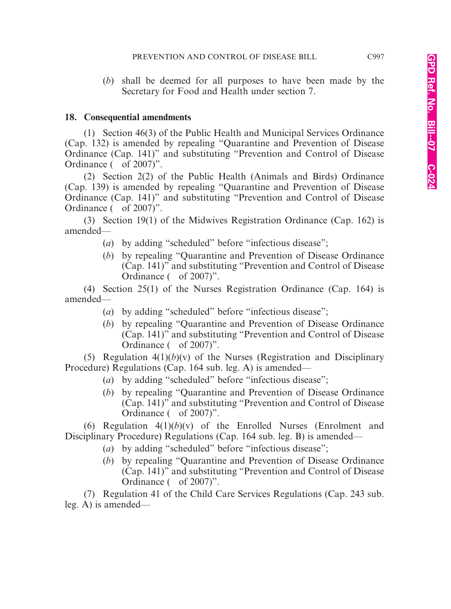(*b*) shall be deemed for all purposes to have been made by the Secretary for Food and Health under section 7.

#### **18. Consequential amendments**

(1) Section 46(3) of the Public Health and Municipal Services Ordinance (Cap. 132) is amended by repealing "Quarantine and Prevention of Disease Ordinance (Cap. 141)" and substituting "Prevention and Control of Disease Ordinance ( of 2007)".

(2) Section 2(2) of the Public Health (Animals and Birds) Ordinance (Cap. 139) is amended by repealing "Quarantine and Prevention of Disease Ordinance (Cap. 141)" and substituting "Prevention and Control of Disease Ordinance ( of 2007)".

(3) Section 19(1) of the Midwives Registration Ordinance (Cap. 162) is amended—

- (*a*) by adding "scheduled" before "infectious disease";
- (*b*) by repealing "Quarantine and Prevention of Disease Ordinance (Cap. 141)" and substituting "Prevention and Control of Disease Ordinance ( of 2007)".

(4) Section 25(1) of the Nurses Registration Ordinance (Cap. 164) is amended—

- (*a*) by adding "scheduled" before "infectious disease";
- (*b*) by repealing "Quarantine and Prevention of Disease Ordinance (Cap. 141)" and substituting "Prevention and Control of Disease Ordinance ( of 2007)".

(5) Regulation  $4(1)(b)(v)$  of the Nurses (Registration and Disciplinary Procedure) Regulations (Cap. 164 sub. leg. A) is amended—

- (*a*) by adding "scheduled" before "infectious disease";
- (*b*) by repealing "Quarantine and Prevention of Disease Ordinance (Cap. 141)" and substituting "Prevention and Control of Disease Ordinance ( of 2007)".

(6) Regulation  $4(1)(b)(v)$  of the Enrolled Nurses (Enrolment and Disciplinary Procedure) Regulations (Cap. 164 sub. leg. B) is amended—

- (*a*) by adding "scheduled" before "infectious disease";
- (*b*) by repealing "Quarantine and Prevention of Disease Ordinance (Cap. 141)" and substituting "Prevention and Control of Disease Ordinance ( of 2007)".

(7) Regulation 41 of the Child Care Services Regulations (Cap. 243 sub. leg. A) is amended—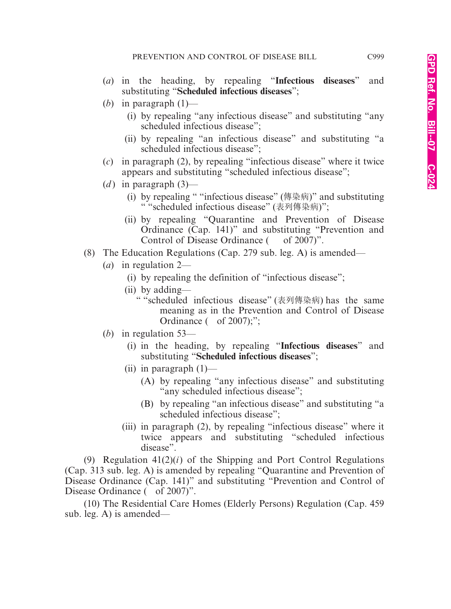- (*a*) in the heading, by repealing "**Infectious diseases**" and substituting "**Scheduled infectious diseases**";
- (*b*) in paragraph (1)—
	- (i) by repealing "any infectious disease" and substituting "any scheduled infectious disease";
	- (ii) by repealing "an infectious disease" and substituting "a scheduled infectious disease";
- (*c*) in paragraph (2), by repealing "infectious disease" where it twice appears and substituting "scheduled infectious disease";
- (*d*) in paragraph  $(3)$ 
	- (i) by repealing " "infectious disease" (傳染病)" and substituting " "scheduled infectious disease" (表列傳染病)";
	- (ii) by repealing "Quarantine and Prevention of Disease Ordinance (Cap. 141)" and substituting "Prevention and Control of Disease Ordinance ( of 2007)".
- (8) The Education Regulations (Cap. 279 sub. leg. A) is amended—
	- (*a*) in regulation 2—
		- (i) by repealing the definition of "infectious disease";
		- (ii) by adding—
			- " "scheduled infectious disease" (表列傳染病) has the same meaning as in the Prevention and Control of Disease Ordinance  $($  of 2007);";
	- (*b*) in regulation 53—
		- (i) in the heading, by repealing "**Infectious diseases**" and substituting "**Scheduled infectious diseases**";
		- (ii) in paragraph  $(1)$ 
			- (A) by repealing "any infectious disease" and substituting "any scheduled infectious disease";
			- (B) by repealing "an infectious disease" and substituting "a scheduled infectious disease";
		- (iii) in paragraph (2), by repealing "infectious disease" where it twice appears and substituting "scheduled infectious disease".

(9) Regulation 41(2)(*i*) of the Shipping and Port Control Regulations (Cap. 313 sub. leg. A) is amended by repealing "Quarantine and Prevention of Disease Ordinance (Cap. 141)" and substituting "Prevention and Control of Disease Ordinance ( of 2007)".

(10) The Residential Care Homes (Elderly Persons) Regulation (Cap. 459 sub. leg. A) is amended—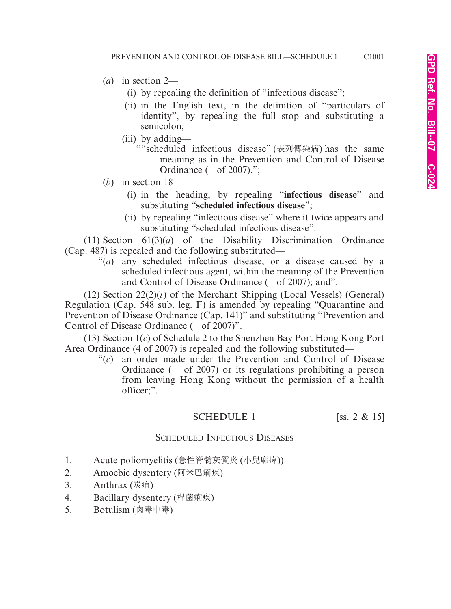- (*a*) in section 2—
	- (i) by repealing the definition of "infectious disease";
	- (ii) in the English text, in the definition of "particulars of identity", by repealing the full stop and substituting a semicolon;
	- (iii) by adding—
		- ""scheduled infectious disease" (表列傳染病) has the same meaning as in the Prevention and Control of Disease Ordinance ( of 2007).";
- (*b*) in section 18—
	- (i) in the heading, by repealing "**infectious disease**" and substituting "**scheduled infectious disease**";
	- (ii) by repealing "infectious disease" where it twice appears and substituting "scheduled infectious disease".

(11) Section 61(3)(*a*) of the Disability Discrimination Ordinance (Cap. 487) is repealed and the following substituted—

"(*a*) any scheduled infectious disease, or a disease caused by a scheduled infectious agent, within the meaning of the Prevention and Control of Disease Ordinance ( of 2007); and".

(12) Section 22(2)(*i*) of the Merchant Shipping (Local Vessels) (General) Regulation (Cap. 548 sub. leg. F) is amended by repealing "Quarantine and Prevention of Disease Ordinance (Cap. 141)" and substituting "Prevention and Control of Disease Ordinance ( of 2007)".

(13) Section 1(*c*) of Schedule 2 to the Shenzhen Bay Port Hong Kong Port Area Ordinance (4 of 2007) is repealed and the following substituted—

"(*c*) an order made under the Prevention and Control of Disease Ordinance ( of 2007) or its regulations prohibiting a person from leaving Hong Kong without the permission of a health officer;".

# SCHEDULE 1 [ss.  $2 \& 15$ ]

# SCHEDULED INFECTIOUS DISEASES

- 1. Acute poliomyelitis (急性脊髓灰質炎 (小兒麻痺))
- 2. Amoebic dysentery (阿米巴痢疾)
- 3. Anthrax (炭疽)
- 4. Bacillary dysentery (桿菌痢疾)
- 5. Botulism (肉毒中毒)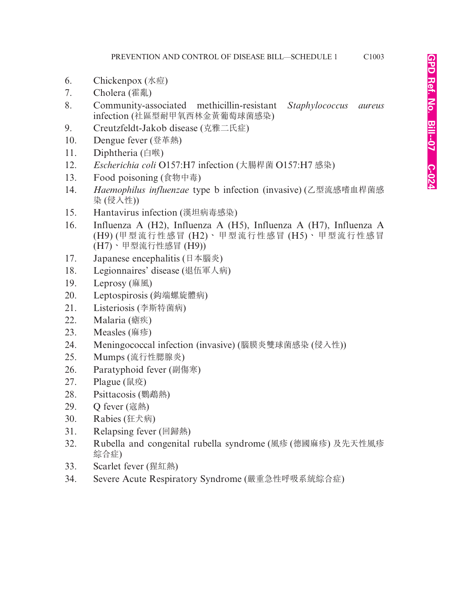- 6. Chickenpox (水痘)
- 7. Cholera (霍亂)
- 8. Community-associated methicillin-resistant *Staphylococcus aureus* infection (社區型耐甲氧西林金黃葡萄球菌感染)
- 9. Creutzfeldt-Jakob disease (克雅二氏症)
- 10. Dengue fever (登革熱)
- 11. Diphtheria (白喉)
- 12. *Escherichia coli* O157:H7 infection (大腸桿菌 O157:H7 感染)
- 13. Food poisoning (食物中毒)
- 14. *Haemophilus influenzae* type b infection (invasive) (乙型流感嗜血桿菌感 染 (侵入性))
- 15. Hantavirus infection (漢坦病毒感染)
- 16. Influenza A (H2), Influenza A (H5), Influenza A (H7), Influenza A (H9) (甲型流行性感冒 (H2)、甲型流行性感冒 (H5)、甲型流行性感冒 (H7)、甲型流行性感冒 (H9))
- 17. Japanese encephalitis (日本腦炎)
- 18. Legionnaires' disease (退伍軍人病)
- 19. Leprosy (麻風)
- 20. Leptospirosis (漖端螺旋體病)
- 21. Listeriosis (李斯特菌病)
- 22. Malaria (瘧疾)
- 23. Measles (麻疹)
- 24. Meningococcal infection (invasive) (腦膜炎雙球菌感染 (侵入性))
- 25. Mumps (流行性腮腺炎)
- 26. Paratyphoid fever (副傷寒)
- 27. Plague (鼠疫)
- 28. Psittacosis (鸚鵡熱)
- 29. Q fever (寇熱)
- 30. Rabies (狂犬病)
- 31. Relapsing fever (回歸熱)
- 32. Rubella and congenital rubella syndrome (風疹 (德國麻疹) 及先天性風疹 綜合症)
- 33. Scarlet fever (猩紅熱)
- 34. Severe Acute Respiratory Syndrome (嚴重急性呼吸系統綜合症)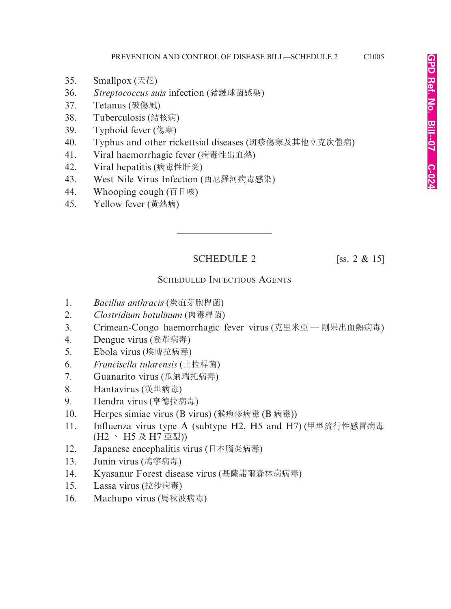- 35. Smallpox (天花)
- 36. *Streptococcus suis* infection (豬鏈球菌感染)
- 37. Tetanus (破傷風)
- 38. Tuberculosis (結核病)
- 39. Typhoid fever (傷寒)
- 40. Typhus and other rickettsial diseases (斑疹傷寒及其他立克次體病)
- 41. Viral haemorrhagic fever (病毒性出血熱)
- 42. Viral hepatitis (病毒性肝炎)
- 43. West Nile Virus Infection (西尼羅河病毒感染)
- 44. Whooping cough (百日咳)
- 45. Yellow fever (黃熱病)

# SCHEDULE 2 [ss. 2 & 15]

————————————————————

# SCHEDULED INFECTIOUS AGENTS

- 1. *Bacillus anthracis* (炭疽芽胞桿菌)
- 2. *Clostridium botulinum* (肉毒桿菌)
- 3. Crimean-Congo haemorrhagic fever virus (克里米亞 剛果出血熱病毒)
- 4. Dengue virus (登革病毒)
- 5. Ebola virus (埃博拉病毒)
- 6. *Francisella tularensis* (土拉桿菌)
- 7. Guanarito virus (瓜納瑞托病毒)
- 8. Hantavirus (漢坦病毒)
- 9. Hendra virus (亨德拉病毒)
- 10. Herpes simiae virus (B virus) (猴疱疹病毒 (B 病毒))
- 11. Influenza virus type A (subtype H2, H5 and H7) (甲型流行性感冒病毒 (H2 、 H5 及 H7 亞型))
- 12. Japanese encephalitis virus (日本腦炎病毒)
- 13. Junin virus (鳩寧病毒)
- 14. Kyasanur Forest disease virus (基薩諾爾森林病病毒)
- 15. Lassa virus (拉沙病毒)
- 16. Machupo virus (馬秋波病毒)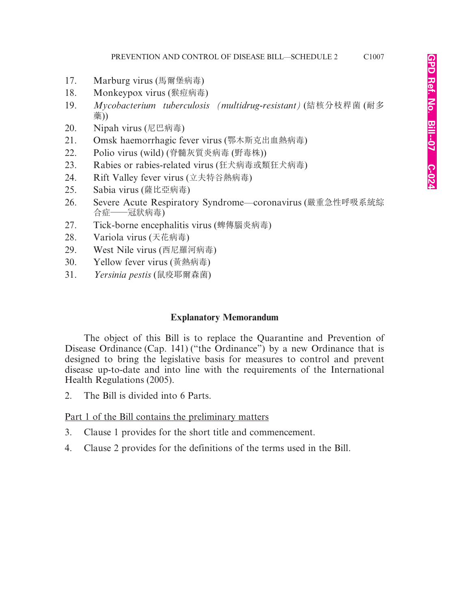- 17. Marburg virus (馬爾堡病毒)
- 18. Monkeypox virus (猴痘病毒)
- 19. *Mycobacterium tuberculosis (multidrug-resistant)* (結核分枝桿菌 (耐多 藥))
- 20. Nipah virus (尼巴病毒)
- 21. Omsk haemorrhagic fever virus (鄂木斯克出血熱病毒)
- 22. Polio virus (wild) (脊髓灰質炎病毒 (野毒株))
- 23. Rabies or rabies-related virus (狂犬病毒或類狂犬病毒)
- 24. Rift Valley fever virus (立夫特谷熱病毒)
- 25. Sabia virus (薩比亞病毒)
- 26. Severe Acute Respiratory Syndrome—coronavirus (嚴重急性呼吸系統綜 合症——冠狀病毒)
- 27. Tick-borne encephalitis virus (蜱傳腦炎病毒)
- 28. Variola virus (天花病毒)
- 29. West Nile virus (西尼羅河病毒)
- 30. Yellow fever virus (黃熱病毒)
- 31. *Yersinia pestis* (鼠疫耶爾森菌)

# **Explanatory Memorandum**

The object of this Bill is to replace the Quarantine and Prevention of Disease Ordinance (Cap. 141) ("the Ordinance") by a new Ordinance that is designed to bring the legislative basis for measures to control and prevent disease up-to-date and into line with the requirements of the International Health Regulations (2005).

2. The Bill is divided into 6 Parts.

# Part 1 of the Bill contains the preliminary matters

- 3. Clause 1 provides for the short title and commencement.
- 4. Clause 2 provides for the definitions of the terms used in the Bill.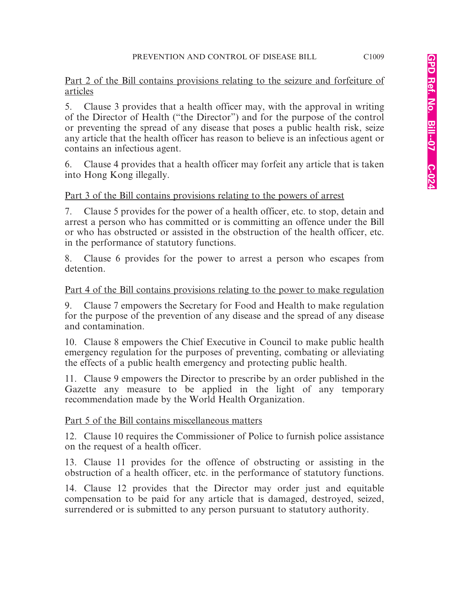Part 2 of the Bill contains provisions relating to the seizure and forfeiture of articles

5. Clause 3 provides that a health officer may, with the approval in writing of the Director of Health ("the Director") and for the purpose of the control or preventing the spread of any disease that poses a public health risk, seize any article that the health officer has reason to believe is an infectious agent or contains an infectious agent.

6. Clause 4 provides that a health officer may forfeit any article that is taken into Hong Kong illegally.

# Part 3 of the Bill contains provisions relating to the powers of arrest

7. Clause 5 provides for the power of a health officer, etc. to stop, detain and arrest a person who has committed or is committing an offence under the Bill or who has obstructed or assisted in the obstruction of the health officer, etc. in the performance of statutory functions.

8. Clause 6 provides for the power to arrest a person who escapes from detention.

# Part 4 of the Bill contains provisions relating to the power to make regulation

9. Clause 7 empowers the Secretary for Food and Health to make regulation for the purpose of the prevention of any disease and the spread of any disease and contamination.

10. Clause 8 empowers the Chief Executive in Council to make public health emergency regulation for the purposes of preventing, combating or alleviating the effects of a public health emergency and protecting public health.

11. Clause 9 empowers the Director to prescribe by an order published in the Gazette any measure to be applied in the light of any temporary recommendation made by the World Health Organization.

# Part 5 of the Bill contains miscellaneous matters

12. Clause 10 requires the Commissioner of Police to furnish police assistance on the request of a health officer.

13. Clause 11 provides for the offence of obstructing or assisting in the obstruction of a health officer, etc. in the performance of statutory functions.

14. Clause 12 provides that the Director may order just and equitable compensation to be paid for any article that is damaged, destroyed, seized, surrendered or is submitted to any person pursuant to statutory authority.